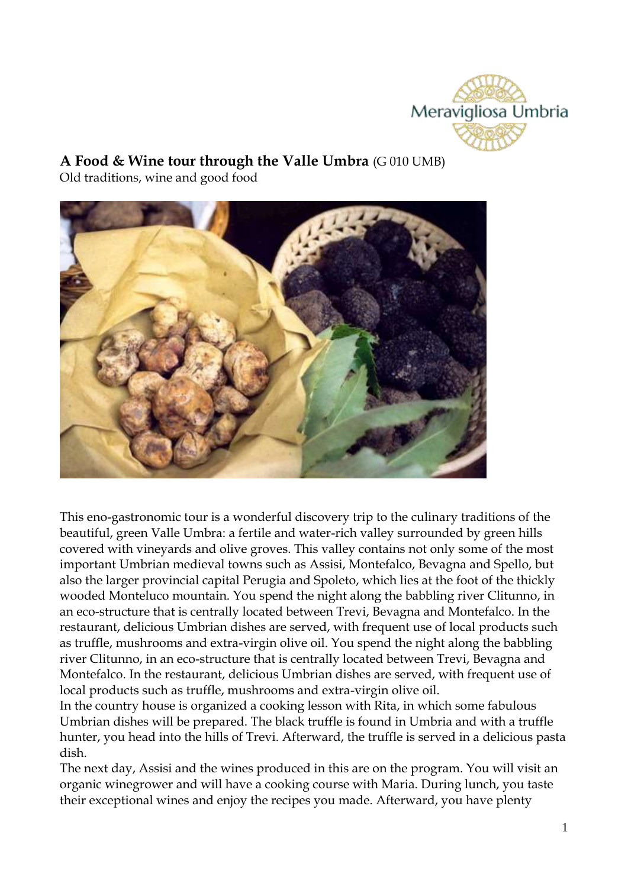

**A Food & Wine tour through the Valle Umbra** (G 010 UMB)

Old traditions, wine and good food



This eno-gastronomic tour is a wonderful discovery trip to the culinary traditions of the beautiful, green Valle Umbra: a fertile and water-rich valley surrounded by green hills covered with vineyards and olive groves. This valley contains not only some of the most important Umbrian medieval towns such as Assisi, Montefalco, Bevagna and Spello, but also the larger provincial capital Perugia and Spoleto, which lies at the foot of the thickly wooded Monteluco mountain. You spend the night along the babbling river Clitunno, in an eco-structure that is centrally located between Trevi, Bevagna and Montefalco. In the restaurant, delicious Umbrian dishes are served, with frequent use of local products such as truffle, mushrooms and extra-virgin olive oil. You spend the night along the babbling river Clitunno, in an eco-structure that is centrally located between Trevi, Bevagna and Montefalco. In the restaurant, delicious Umbrian dishes are served, with frequent use of local products such as truffle, mushrooms and extra-virgin olive oil.

In the country house is organized a cooking lesson with Rita, in which some fabulous Umbrian dishes will be prepared. The black truffle is found in Umbria and with a truffle hunter, you head into the hills of Trevi. Afterward, the truffle is served in a delicious pasta dish.

The next day, Assisi and the wines produced in this are on the program. You will visit an organic winegrower and will have a cooking course with Maria. During lunch, you taste their exceptional wines and enjoy the recipes you made. Afterward, you have plenty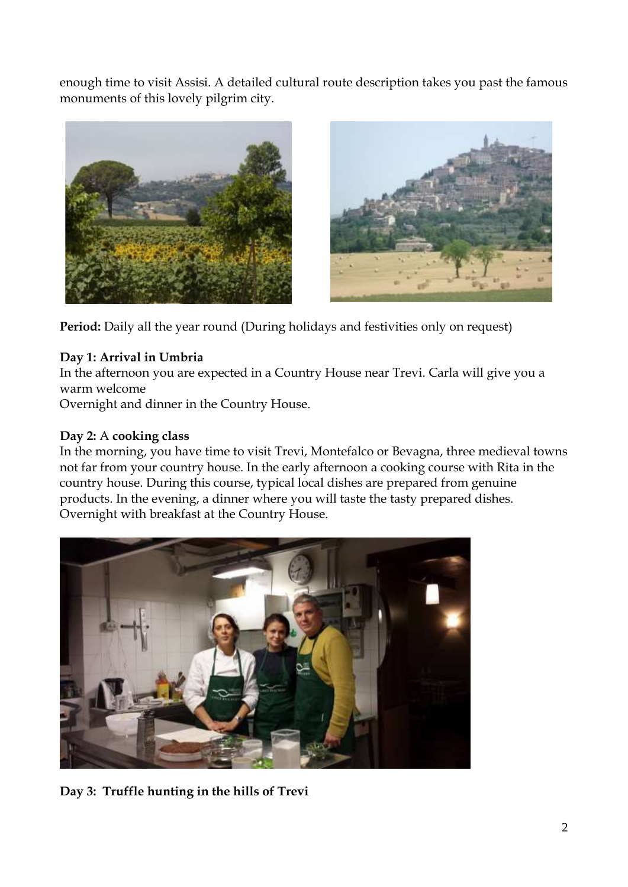enough time to visit Assisi. A detailed cultural route description takes you past the famous monuments of this lovely pilgrim city.





Period: Daily all the year round (During holidays and festivities only on request)

## **Day 1: Arrival in Umbria**

In the afternoon you are expected in a Country House near Trevi. Carla will give you a warm welcome

Overnight and dinner in the Country House.

### **Day 2:** A **cooking class**

In the morning, you have time to visit Trevi, Montefalco or Bevagna, three medieval towns not far from your country house. In the early afternoon a cooking course with Rita in the country house. During this course, typical local dishes are prepared from genuine products. In the evening, a dinner where you will taste the tasty prepared dishes. Overnight with breakfast at the Country House.



**Day 3: Truffle hunting in the hills of Trevi**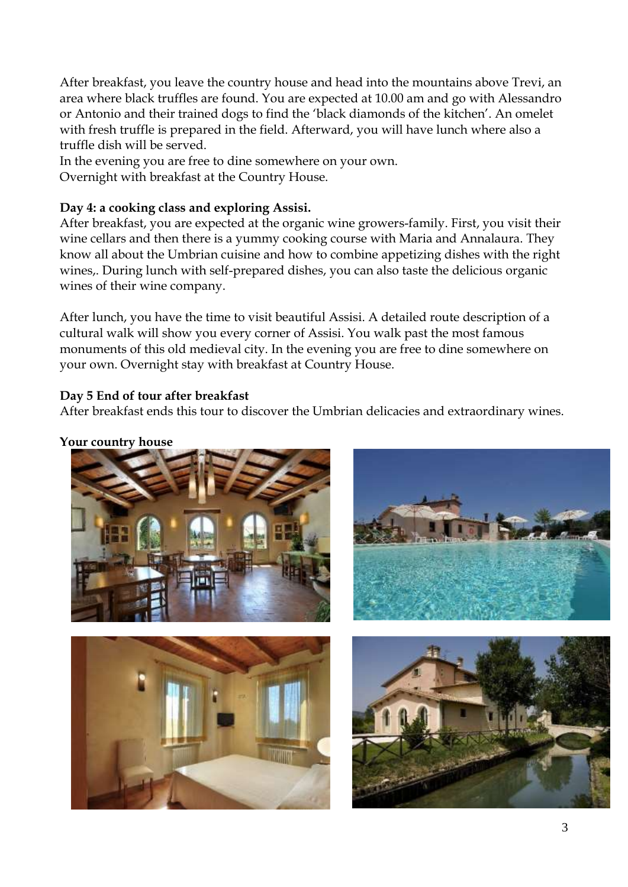After breakfast, you leave the country house and head into the mountains above Trevi, an area where black truffles are found. You are expected at 10.00 am and go with Alessandro or Antonio and their trained dogs to find the 'black diamonds of the kitchen'. An omelet with fresh truffle is prepared in the field. Afterward, you will have lunch where also a truffle dish will be served.

In the evening you are free to dine somewhere on your own. Overnight with breakfast at the Country House.

# **Day 4: a cooking class and exploring Assisi.**

After breakfast, you are expected at the organic wine growers-family. First, you visit their wine cellars and then there is a yummy cooking course with Maria and Annalaura. They know all about the Umbrian cuisine and how to combine appetizing dishes with the right wines,. During lunch with self-prepared dishes, you can also taste the delicious organic wines of their wine company.

After lunch, you have the time to visit beautiful Assisi. A detailed route description of a cultural walk will show you every corner of Assisi. You walk past the most famous monuments of this old medieval city. In the evening you are free to dine somewhere on your own. Overnight stay with breakfast at Country House.

# **Day 5 End of tour after breakfast**

After breakfast ends this tour to discover the Umbrian delicacies and extraordinary wines.

## **Your country house**